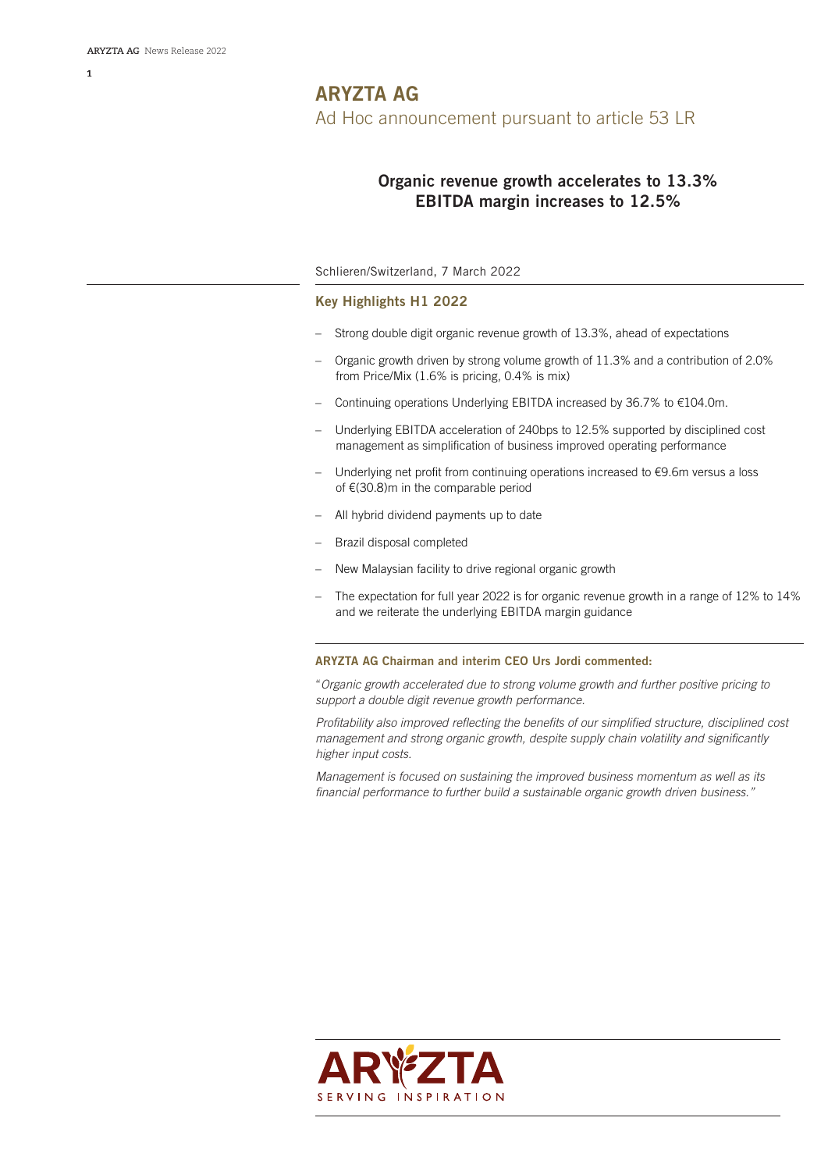## **Organic revenue growth accelerates to 13.3% EBITDA margin increases to 12.5%**

## Schlieren/Switzerland, 7 March 2022

## **Key Highlights H1 2022**

- Strong double digit organic revenue growth of 13.3%, ahead of expectations
- Organic growth driven by strong volume growth of 11.3% and a contribution of 2.0% from Price/Mix (1.6% is pricing, 0.4% is mix)
- Continuing operations Underlying EBITDA increased by 36.7% to €104.0m.
- Underlying EBITDA acceleration of 240bps to 12.5% supported by disciplined cost management as simplification of business improved operating performance
- Underlying net profit from continuing operations increased to €9.6m versus a loss of €(30.8)m in the comparable period
- All hybrid dividend payments up to date
- Brazil disposal completed
- New Malaysian facility to drive regional organic growth
- The expectation for full year 2022 is for organic revenue growth in a range of 12% to 14% and we reiterate the underlying EBITDA margin guidance

## **ARYZTA AG Chairman and interim CEO Urs Jordi commented:**

"*Organic growth accelerated due to strong volume growth and further positive pricing to support a double digit revenue growth performance.*

*Profitability also improved reflecting the benefits of our simplified structure, disciplined cost management and strong organic growth, despite supply chain volatility and significantly higher input costs.*

*Management is focused on sustaining the improved business momentum as well as its financial performance to further build a sustainable organic growth driven business."*

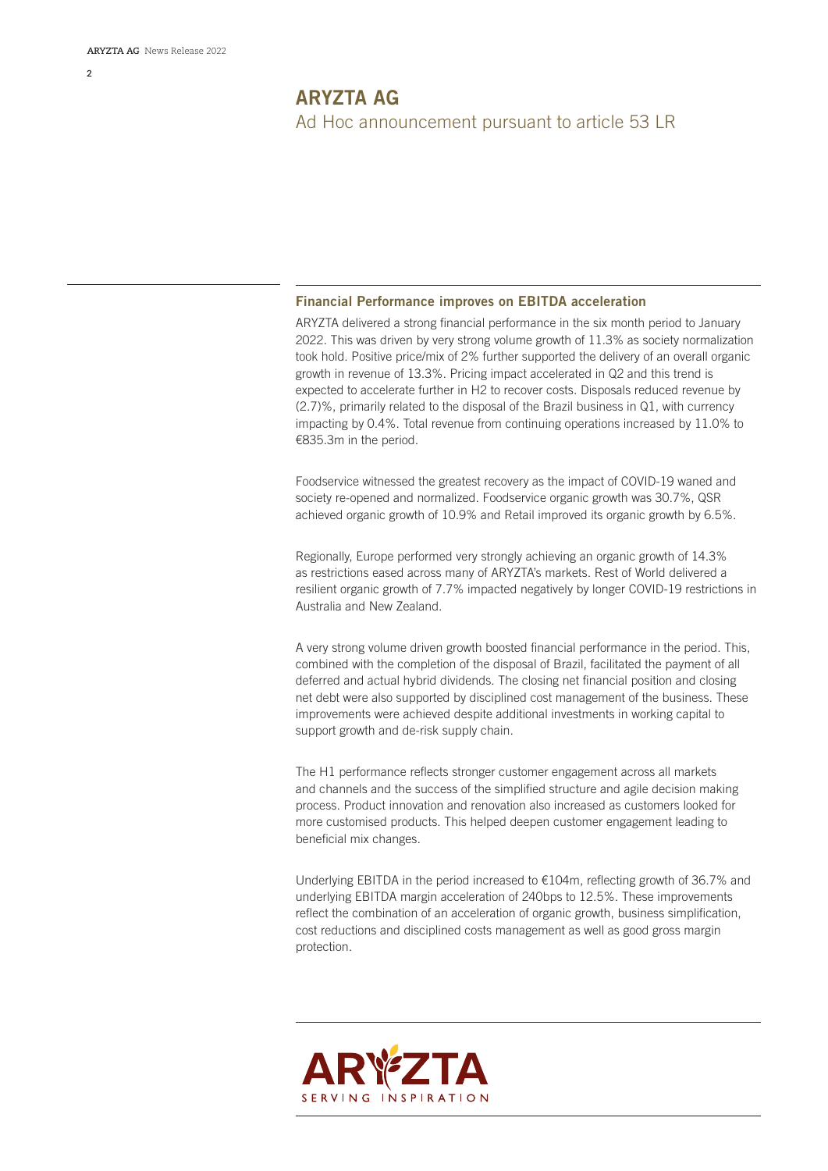## **Financial Performance improves on EBITDA acceleration**

ARYZTA delivered a strong financial performance in the six month period to January 2022. This was driven by very strong volume growth of 11.3% as society normalization took hold. Positive price/mix of 2% further supported the delivery of an overall organic growth in revenue of 13.3%. Pricing impact accelerated in Q2 and this trend is expected to accelerate further in H2 to recover costs. Disposals reduced revenue by (2.7)%, primarily related to the disposal of the Brazil business in Q1, with currency impacting by 0.4%. Total revenue from continuing operations increased by 11.0% to €835.3m in the period.

Foodservice witnessed the greatest recovery as the impact of COVID-19 waned and society re-opened and normalized. Foodservice organic growth was 30.7%, QSR achieved organic growth of 10.9% and Retail improved its organic growth by 6.5%.

Regionally, Europe performed very strongly achieving an organic growth of 14.3% as restrictions eased across many of ARYZTA's markets. Rest of World delivered a resilient organic growth of 7.7% impacted negatively by longer COVID-19 restrictions in Australia and New Zealand.

A very strong volume driven growth boosted financial performance in the period. This, combined with the completion of the disposal of Brazil, facilitated the payment of all deferred and actual hybrid dividends. The closing net financial position and closing net debt were also supported by disciplined cost management of the business. These improvements were achieved despite additional investments in working capital to support growth and de-risk supply chain.

The H1 performance reflects stronger customer engagement across all markets and channels and the success of the simplified structure and agile decision making process. Product innovation and renovation also increased as customers looked for more customised products. This helped deepen customer engagement leading to beneficial mix changes.

Underlying EBITDA in the period increased to €104m, reflecting growth of 36.7% and underlying EBITDA margin acceleration of 240bps to 12.5%. These improvements reflect the combination of an acceleration of organic growth, business simplification, cost reductions and disciplined costs management as well as good gross margin protection.

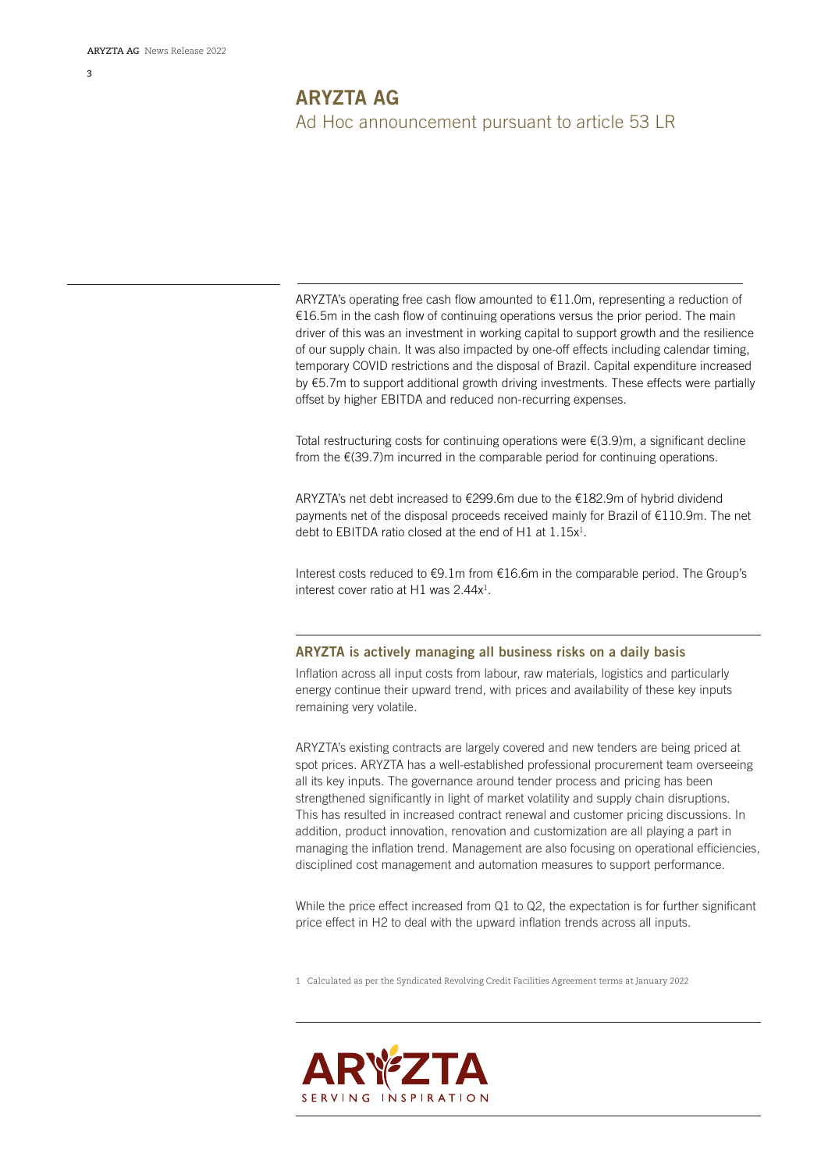ARYZTA's operating free cash flow amounted to  $E11.0m$ , representing a reduction of €16.5m in the cash flow of continuing operations versus the prior period. The main driver of this was an investment in working capital to support growth and the resilience of our supply chain. It was also impacted by one-off effects including calendar timing, temporary COVID restrictions and the disposal of Brazil. Capital expenditure increased by €5.7m to support additional growth driving investments. These effects were partially offset by higher EBITDA and reduced non-recurring expenses.

Total restructuring costs for continuing operations were  $E(3.9)$ m, a significant decline from the  $E(39.7)$ m incurred in the comparable period for continuing operations.

ARYZTA's net debt increased to €299.6m due to the €182.9m of hybrid dividend payments net of the disposal proceeds received mainly for Brazil of €110.9m. The net debt to EBITDA ratio closed at the end of H1 at  $1.15x<sup>1</sup>$ .

Interest costs reduced to €9.1m from €16.6m in the comparable period. The Group's interest cover ratio at H1 was 2.44x<sup>1</sup>.

## **ARYZTA is actively managing all business risks on a daily basis**

Inflation across all input costs from labour, raw materials, logistics and particularly energy continue their upward trend, with prices and availability of these key inputs remaining very volatile.

ARYZTA's existing contracts are largely covered and new tenders are being priced at spot prices. ARYZTA has a well-established professional procurement team overseeing all its key inputs. The governance around tender process and pricing has been strengthened significantly in light of market volatility and supply chain disruptions. This has resulted in increased contract renewal and customer pricing discussions. In addition, product innovation, renovation and customization are all playing a part in managing the inflation trend. Management are also focusing on operational efficiencies, disciplined cost management and automation measures to support performance.

While the price effect increased from Q1 to Q2, the expectation is for further significant price effect in H2 to deal with the upward inflation trends across all inputs.

1 Calculated as per the Syndicated Revolving Credit Facilities Agreement terms at January 2022

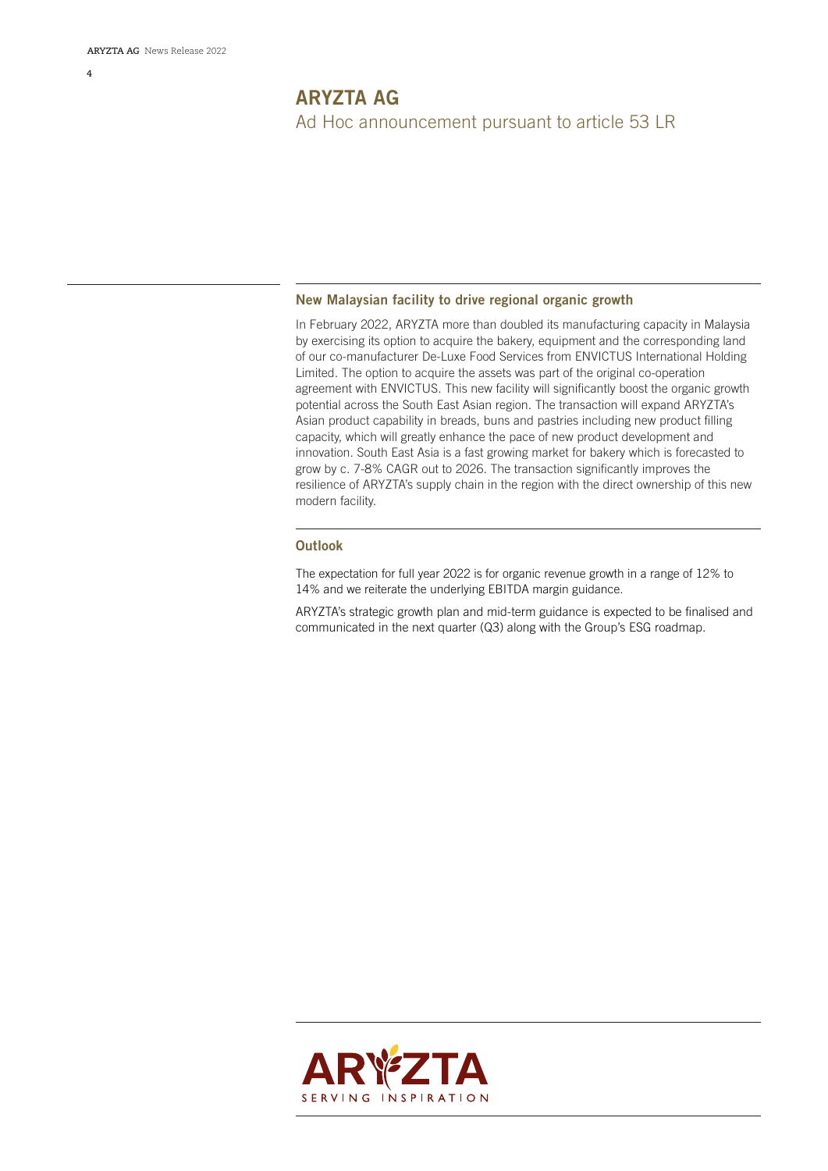## **New Malaysian facility to drive regional organic growth**

In February 2022, ARYZTA more than doubled its manufacturing capacity in Malaysia by exercising its option to acquire the bakery, equipment and the corresponding land of our co-manufacturer De-Luxe Food Services from ENVICTUS International Holding Limited. The option to acquire the assets was part of the original co-operation agreement with ENVICTUS. This new facility will significantly boost the organic growth potential across the South East Asian region. The transaction will expand ARYZTA's Asian product capability in breads, buns and pastries including new product filling capacity, which will greatly enhance the pace of new product development and innovation. South East Asia is a fast growing market for bakery which is forecasted to grow by c. 7-8% CAGR out to 2026. The transaction significantly improves the resilience of ARYZTA's supply chain in the region with the direct ownership of this new modern facility.

## **Outlook**

The expectation for full year 2022 is for organic revenue growth in a range of 12% to 14% and we reiterate the underlying EBITDA margin guidance.

ARYZTA's strategic growth plan and mid-term guidance is expected to be finalised and communicated in the next quarter (Q3) along with the Group's ESG roadmap.

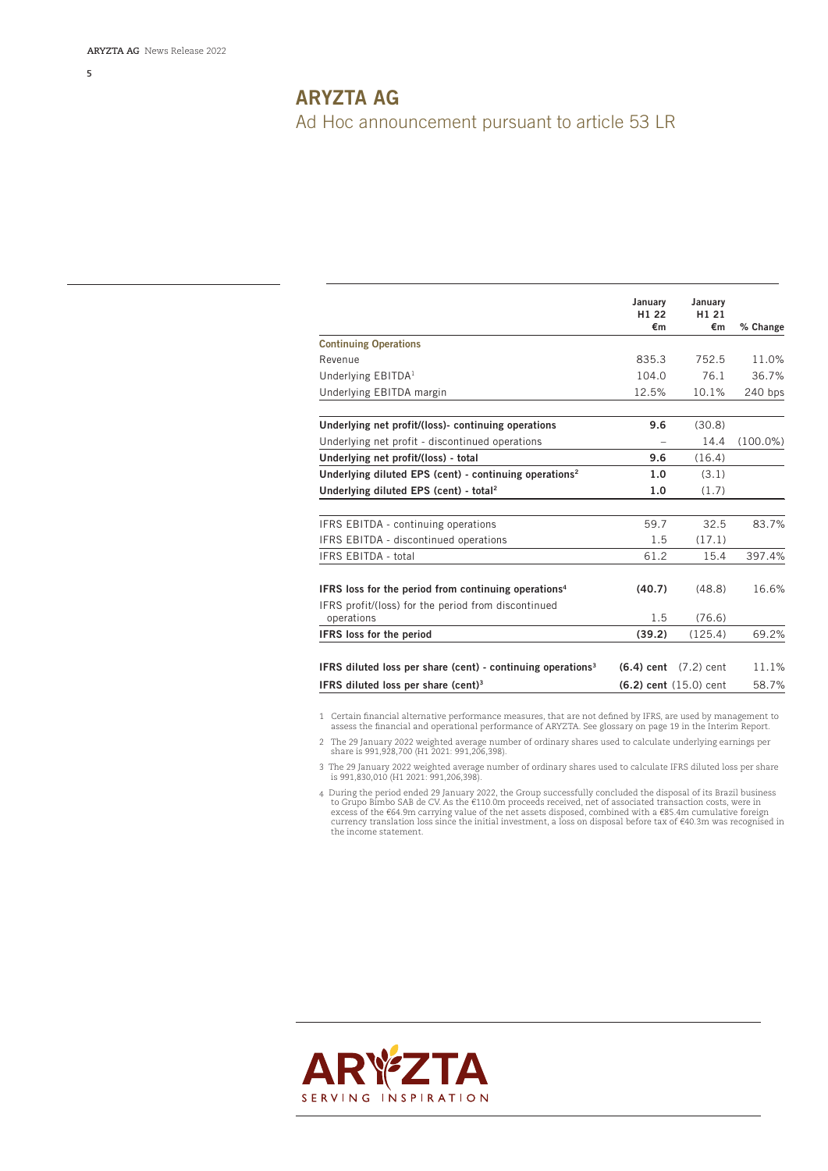**5**

# **ARYZTA AG** Ad Hoc announcement pursuant to article 53 LR

|                                                                         | January<br>H1 22<br>€m | January<br>H <sub>1</sub> 21<br>€m | % Change    |
|-------------------------------------------------------------------------|------------------------|------------------------------------|-------------|
| <b>Continuing Operations</b>                                            |                        |                                    |             |
| Revenue                                                                 | 835.3                  | 752.5                              | 11.0%       |
| Underlying EBITDA <sup>1</sup>                                          | 104.0                  | 76.1                               | 36.7%       |
| Underlying EBITDA margin                                                | 12.5%                  | 10.1%                              | 240 bps     |
| Underlying net profit/(loss)- continuing operations                     | 9.6                    | (30.8)                             |             |
| Underlying net profit - discontinued operations                         |                        | 14.4                               | $(100.0\%)$ |
| Underlying net profit/(loss) - total                                    | 9.6                    | (16.4)                             |             |
| Underlying diluted EPS (cent) - continuing operations <sup>2</sup>      | 1.0                    | (3.1)                              |             |
| Underlying diluted EPS (cent) - total <sup>2</sup>                      | 1.0                    | (1.7)                              |             |
| IFRS EBITDA - continuing operations                                     | 59.7                   | 32.5                               | 83.7%       |
| IFRS EBITDA - discontinued operations                                   | 1.5                    | (17.1)                             |             |
| IFRS EBITDA - total                                                     | 61.2                   | 15.4                               | 397.4%      |
| IFRS loss for the period from continuing operations <sup>4</sup>        | (40.7)                 | (48.8)                             | 16.6%       |
| IFRS profit/(loss) for the period from discontinued<br>operations       | 1.5                    | (76.6)                             |             |
| <b>IFRS</b> loss for the period                                         | (39.2)                 | (125.4)                            | 69.2%       |
| IFRS diluted loss per share (cent) - continuing operations <sup>3</sup> |                        | $(6.4)$ cent $(7.2)$ cent          | 11.1%       |
| IFRS diluted loss per share (cent) <sup>3</sup>                         |                        | $(6.2)$ cent $(15.0)$ cent         | 58.7%       |

1 Certain financial alternative performance measures, that are not defined by IFRS, are used by management to assess the financial and operational performance of ARYZTA. See glossary on page 19 in the Interim Report.

2 The 29 January 2022 weighted average number of ordinary shares used to calculate underlying earnings per share is 991,928,700 (H1 2021: 991,206,398).

3 The 29 January 2022 weighted average number of ordinary shares used to calculate IFRS diluted loss per share is 991,830,010 (H1 2021: 991,206,398).

4 During the period ended 29 January 2022, the Group successfully concluded the disposal of its Brazil business to Grupo Bimbo SAB de CV. As the €110.0m proceeds received, net of associated transaction costs, were in<br>excess of the €64.9m carrying value of the net assets disposed, combined with a €85.4m cumulative foreign<br>currency tr the income statement.

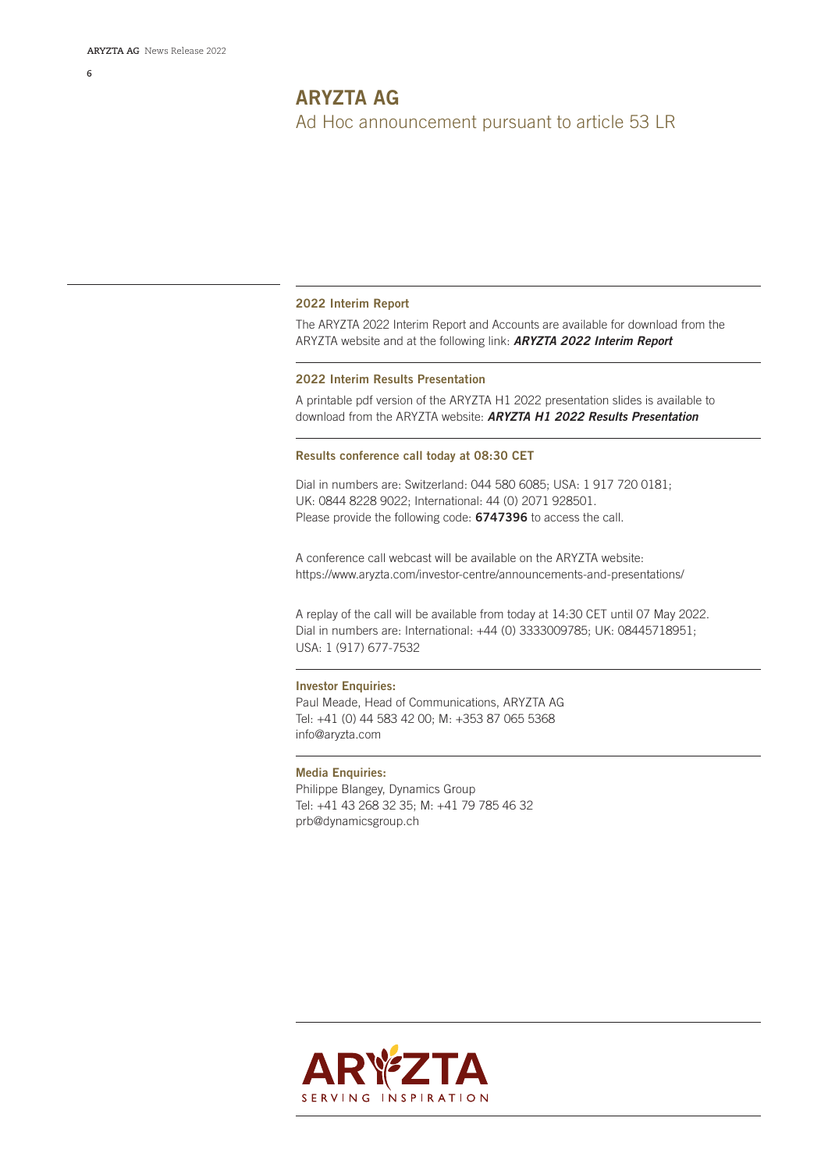#### **2022 Interim Report**

The ARYZTA 2022 Interim Report and Accounts are available for download from the ARYZTA website and at the following link: *[ARYZTA 2022 Interim Report](https://www.aryzta.com/wp-content/uploads/2022/03/Report.pdf)*

## **2022 Interim Results Presentation**

A printable pdf version of the ARYZTA H1 2022 presentation slides is available to download from the ARYZTA website: *[ARYZTA H1 2022 Results Presentation](https://www.aryzta.com/wp-content/uploads/2022/03/Presentation.pdf)*

#### **Results conference call today at 08:30 CET**

Dial in numbers are: Switzerland: 044 580 6085; USA: 1 917 720 0181; UK: 0844 8228 9022; International: 44 (0) 2071 928501. Please provide the following code: **6747396** to access the call.

A conference call webcast will be available on the ARYZTA website: https://www.aryzta.com/investor-centre/announcements-and-presentations/

A replay of the call will be available from today at 14:30 CET until 07 May 2022. Dial in numbers are: International: +44 (0) 3333009785; UK: 08445718951; USA: 1 (917) 677-7532

#### **Investor Enquiries:**

Paul Meade, Head of Communications, ARYZTA AG Tel: +41 (0) 44 583 42 00; M: +353 87 065 5368 info@aryzta.com

#### **Media Enquiries:**

Philippe Blangey, Dynamics Group Tel: +41 43 268 32 35; M: +41 79 785 46 32 prb@dynamicsgroup.ch